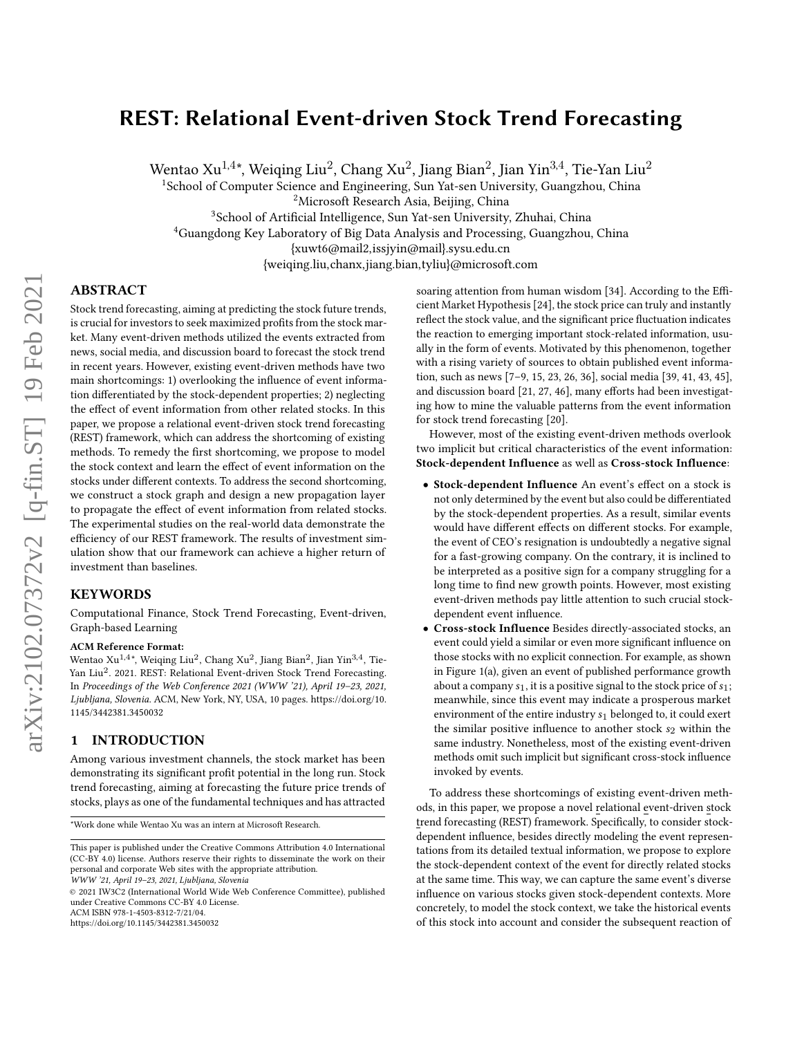# REST: Relational Event-driven Stock Trend Forecasting

Wentao Xu $^{1,4\ast},$  Weiqing Liu $^2$ , Chang Xu $^2$ , Jiang Bian $^2$ , Jian Yin $^{3,4}$ , Tie-Yan Liu $^2$ 

<sup>1</sup>School of Computer Science and Engineering, Sun Yat-sen University, Guangzhou, China

<sup>2</sup>Microsoft Research Asia, Beijing, China

<sup>3</sup>School of Artificial Intelligence, Sun Yat-sen University, Zhuhai, China

<sup>4</sup>Guangdong Key Laboratory of Big Data Analysis and Processing, Guangzhou, China

{xuwt6@mail2,issjyin@mail}.sysu.edu.cn

{weiqing.liu,chanx,jiang.bian,tyliu}@microsoft.com

# ABSTRACT

Stock trend forecasting, aiming at predicting the stock future trends, is crucial for investors to seek maximized profits from the stock market. Many event-driven methods utilized the events extracted from news, social media, and discussion board to forecast the stock trend in recent years. However, existing event-driven methods have two main shortcomings: 1) overlooking the influence of event information differentiated by the stock-dependent properties; 2) neglecting the effect of event information from other related stocks. In this paper, we propose a relational event-driven stock trend forecasting (REST) framework, which can address the shortcoming of existing methods. To remedy the first shortcoming, we propose to model the stock context and learn the effect of event information on the stocks under different contexts. To address the second shortcoming, we construct a stock graph and design a new propagation layer to propagate the effect of event information from related stocks. The experimental studies on the real-world data demonstrate the efficiency of our REST framework. The results of investment simulation show that our framework can achieve a higher return of investment than baselines.

## **KEYWORDS**

Computational Finance, Stock Trend Forecasting, Event-driven, Graph-based Learning

#### ACM Reference Format:

Wentao Xu<sup>1,4\*</sup>, Weiqing Liu<sup>2</sup>, Chang Xu<sup>2</sup>, Jiang Bian<sup>2</sup>, Jian Yin<sup>3,4</sup>, Tie-Yan Liu<sup>2</sup>. 2021. REST: Relational Event-driven Stock Trend Forecasting. In Proceedings of the Web Conference 2021 (WWW '21), April 19–23, 2021, Ljubljana, Slovenia. ACM, New York, NY, USA, [10](#page-9-0) pages. [https://doi.org/10.](https://doi.org/10.1145/3442381.3450032) [1145/3442381.3450032](https://doi.org/10.1145/3442381.3450032)

#### <span id="page-0-0"></span>1 INTRODUCTION

Among various investment channels, the stock market has been demonstrating its significant profit potential in the long run. Stock trend forecasting, aiming at forecasting the future price trends of stocks, plays as one of the fundamental techniques and has attracted

\*Work done while Wentao Xu was an intern at Microsoft Research.

WWW '21, April 19–23, 2021, Ljubljana, Slovenia

© 2021 IW3C2 (International World Wide Web Conference Committee), published under Creative Commons CC-BY 4.0 License.

ACM ISBN 978-1-4503-8312-7/21/04.

<https://doi.org/10.1145/3442381.3450032>

soaring attention from human wisdom [\[34\]](#page-9-1). According to the Efficient Market Hypothesis [\[24\]](#page-9-2), the stock price can truly and instantly reflect the stock value, and the significant price fluctuation indicates the reaction to emerging important stock-related information, usually in the form of events. Motivated by this phenomenon, together with a rising variety of sources to obtain published event information, such as news [\[7–](#page-8-0)[9,](#page-8-1) [15,](#page-8-2) [23,](#page-8-3) [26,](#page-9-3) [36\]](#page-9-4), social media [\[39,](#page-9-5) [41,](#page-9-6) [43,](#page-9-7) [45\]](#page-9-8), and discussion board [\[21,](#page-8-4) [27,](#page-9-9) [46\]](#page-9-10), many efforts had been investigating how to mine the valuable patterns from the event information for stock trend forecasting [\[20\]](#page-8-5).

However, most of the existing event-driven methods overlook two implicit but critical characteristics of the event information: Stock-dependent Influence as well as Cross-stock Influence:

- Stock-dependent Influence An event's effect on a stock is not only determined by the event but also could be differentiated by the stock-dependent properties. As a result, similar events would have different effects on different stocks. For example, the event of CEO's resignation is undoubtedly a negative signal for a fast-growing company. On the contrary, it is inclined to be interpreted as a positive sign for a company struggling for a long time to find new growth points. However, most existing event-driven methods pay little attention to such crucial stockdependent event influence.
- Cross-stock Influence Besides directly-associated stocks, an event could yield a similar or even more significant influence on those stocks with no explicit connection. For example, as shown in Figure [1\(](#page-1-0)a), given an event of published performance growth about a company  $s_1$ , it is a positive signal to the stock price of  $s_1$ ; meanwhile, since this event may indicate a prosperous market environment of the entire industry  $s_1$  belonged to, it could exert the similar positive influence to another stock  $s_2$  within the same industry. Nonetheless, most of the existing event-driven methods omit such implicit but significant cross-stock influence invoked by events.

To address these shortcomings of existing event-driven methods, in this paper, we propose a novel relational event-driven stock trend forecasting (REST) framework. Specifically, to consider stockdependent influence, besides directly modeling the event representations from its detailed textual information, we propose to explore the stock-dependent context of the event for directly related stocks at the same time. This way, we can capture the same event's diverse influence on various stocks given stock-dependent contexts. More concretely, to model the stock context, we take the historical events of this stock into account and consider the subsequent reaction of

This paper is published under the Creative Commons Attribution 4.0 International (CC-BY 4.0) license. Authors reserve their rights to disseminate the work on their personal and corporate Web sites with the appropriate attribution.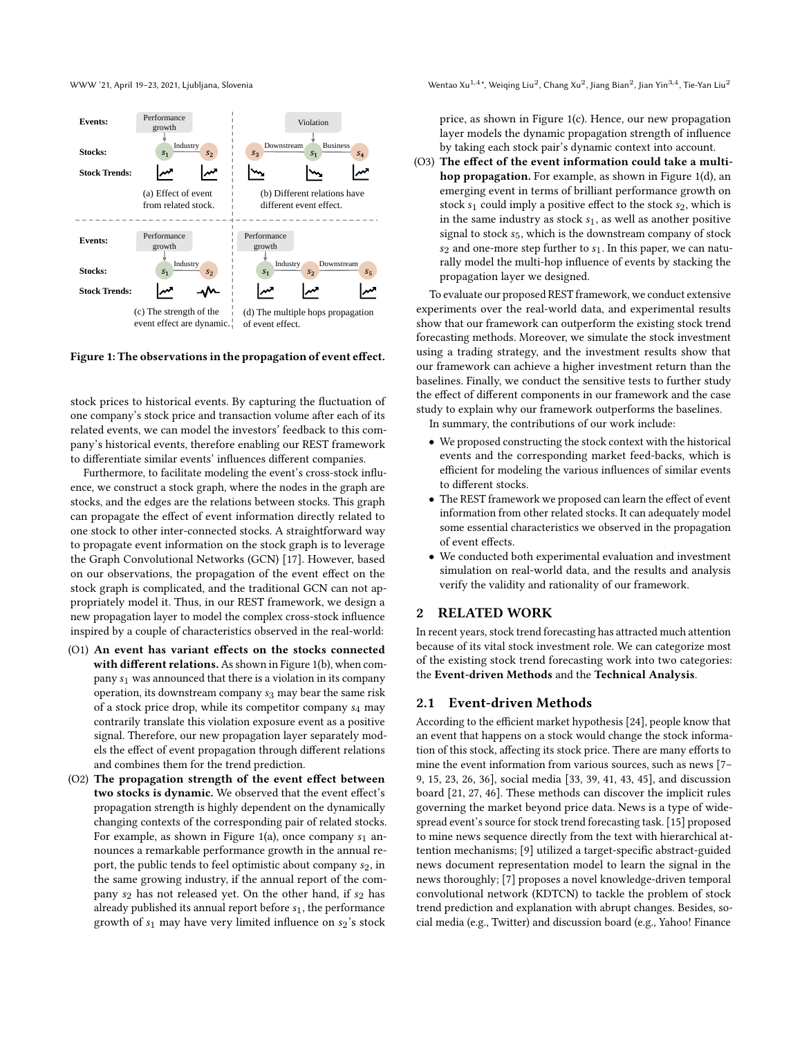WWW '21, April 19-23, 2021, Ljubljana, Slovenia

<span id="page-1-0"></span>

Figure 1: The observations in the propagation of event effect.

stock prices to historical events. By capturing the fluctuation of one company's stock price and transaction volume after each of its related events, we can model the investors' feedback to this company's historical events, therefore enabling our REST framework to differentiate similar events' influences different companies.

Furthermore, to facilitate modeling the event's cross-stock influence, we construct a stock graph, where the nodes in the graph are stocks, and the edges are the relations between stocks. This graph can propagate the effect of event information directly related to one stock to other inter-connected stocks. A straightforward way to propagate event information on the stock graph is to leverage the Graph Convolutional Networks (GCN) [\[17\]](#page-8-6). However, based on our observations, the propagation of the event effect on the stock graph is complicated, and the traditional GCN can not appropriately model it. Thus, in our REST framework, we design a new propagation layer to model the complex cross-stock influence inspired by a couple of characteristics observed in the real-world:

- (O1) An event has variant effects on the stocks connected with different relations. As shown in Figure [1\(](#page-1-0)b), when company  $s_1$  was announced that there is a violation in its company operation, its downstream company  $s_3$  may bear the same risk of a stock price drop, while its competitor company  $s_4$  may contrarily translate this violation exposure event as a positive signal. Therefore, our new propagation layer separately models the effect of event propagation through different relations and combines them for the trend prediction.
- (O2) The propagation strength of the event effect between two stocks is dynamic. We observed that the event effect's propagation strength is highly dependent on the dynamically changing contexts of the corresponding pair of related stocks. For example, as shown in Figure [1\(](#page-1-0)a), once company  $s_1$  announces a remarkable performance growth in the annual report, the public tends to feel optimistic about company  $s_2$ , in the same growing industry, if the annual report of the company  $s_2$  has not released yet. On the other hand, if  $s_2$  has already published its annual report before  $s_1$ , the performance growth of  $s_1$  may have very limited influence on  $s_2$ 's stock

\*, Weiqing Liu $^2$ , Chang Xu $^2$ , Jiang Bian $^2$ , Jian Yin $^{3,4}$ , Tie-Yan Liu $^2$ 

price, as shown in Figure [1\(](#page-1-0)c). Hence, our new propagation layer models the dynamic propagation strength of influence by taking each stock pair's dynamic context into account.

(O3) The effect of the event information could take a multihop propagation. For example, as shown in Figure [1\(](#page-1-0)d), an emerging event in terms of brilliant performance growth on stock  $s_1$  could imply a positive effect to the stock  $s_2$ , which is in the same industry as stock  $s_1$ , as well as another positive signal to stock  $s<sub>5</sub>$ , which is the downstream company of stock  $s_2$  and one-more step further to  $s_1$ . In this paper, we can naturally model the multi-hop influence of events by stacking the propagation layer we designed.

To evaluate our proposed REST framework, we conduct extensive experiments over the real-world data, and experimental results show that our framework can outperform the existing stock trend forecasting methods. Moreover, we simulate the stock investment using a trading strategy, and the investment results show that our framework can achieve a higher investment return than the baselines. Finally, we conduct the sensitive tests to further study the effect of different components in our framework and the case study to explain why our framework outperforms the baselines.

In summary, the contributions of our work include:

- We proposed constructing the stock context with the historical events and the corresponding market feed-backs, which is efficient for modeling the various influences of similar events to different stocks.
- The REST framework we proposed can learn the effect of event information from other related stocks. It can adequately model some essential characteristics we observed in the propagation of event effects.
- We conducted both experimental evaluation and investment simulation on real-world data, and the results and analysis verify the validity and rationality of our framework.

## 2 RELATED WORK

In recent years, stock trend forecasting has attracted much attention because of its vital stock investment role. We can categorize most of the existing stock trend forecasting work into two categories: the Event-driven Methods and the Technical Analysis.

#### 2.1 Event-driven Methods

According to the efficient market hypothesis [\[24\]](#page-9-2), people know that an event that happens on a stock would change the stock information of this stock, affecting its stock price. There are many efforts to mine the event information from various sources, such as news [\[7–](#page-8-0) [9,](#page-8-1) [15,](#page-8-2) [23,](#page-8-3) [26,](#page-9-3) [36\]](#page-9-4), social media [\[33,](#page-9-11) [39,](#page-9-5) [41,](#page-9-6) [43,](#page-9-7) [45\]](#page-9-8), and discussion board [\[21,](#page-8-4) [27,](#page-9-9) [46\]](#page-9-10). These methods can discover the implicit rules governing the market beyond price data. News is a type of widespread event's source for stock trend forecasting task. [\[15\]](#page-8-2) proposed to mine news sequence directly from the text with hierarchical attention mechanisms; [\[9\]](#page-8-1) utilized a target-specific abstract-guided news document representation model to learn the signal in the news thoroughly; [\[7\]](#page-8-0) proposes a novel knowledge-driven temporal convolutional network (KDTCN) to tackle the problem of stock trend prediction and explanation with abrupt changes. Besides, social media (e.g., Twitter) and discussion board (e.g., Yahoo! Finance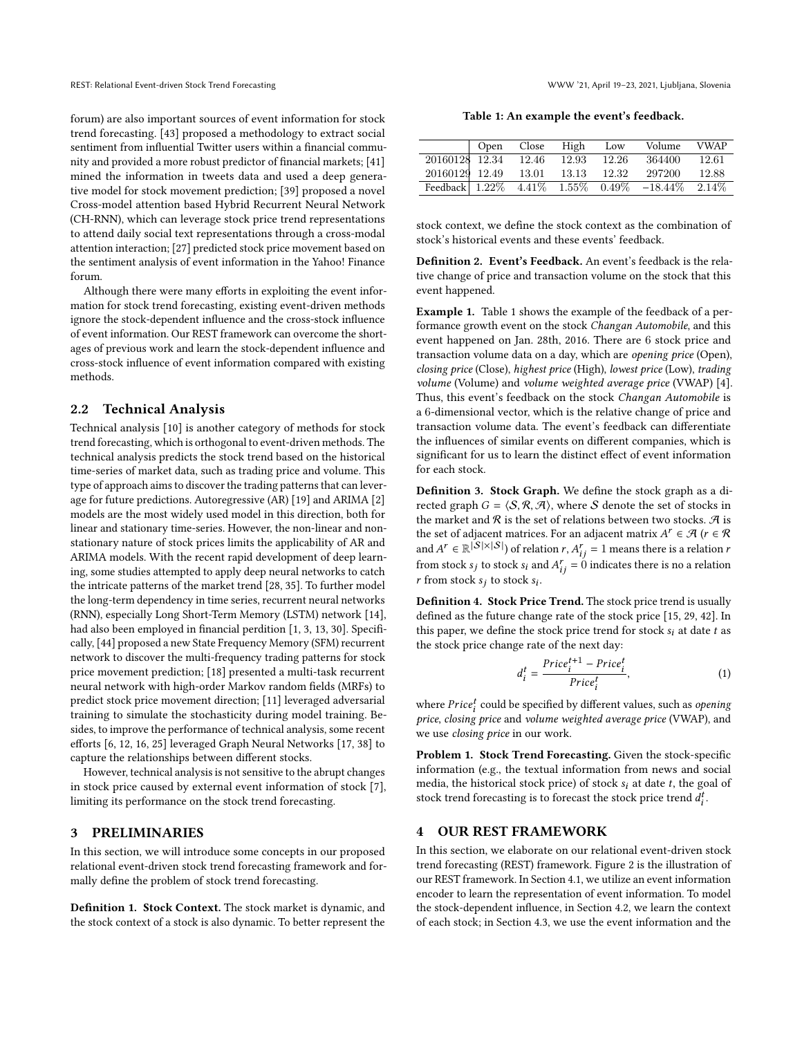forum) are also important sources of event information for stock trend forecasting. [\[43\]](#page-9-7) proposed a methodology to extract social sentiment from influential Twitter users within a financial community and provided a more robust predictor of financial markets; [\[41\]](#page-9-6) mined the information in tweets data and used a deep generative model for stock movement prediction; [\[39\]](#page-9-5) proposed a novel Cross-model attention based Hybrid Recurrent Neural Network (CH-RNN), which can leverage stock price trend representations to attend daily social text representations through a cross-modal attention interaction; [\[27\]](#page-9-9) predicted stock price movement based on the sentiment analysis of event information in the Yahoo! Finance forum.

Although there were many efforts in exploiting the event information for stock trend forecasting, existing event-driven methods ignore the stock-dependent influence and the cross-stock influence of event information. Our REST framework can overcome the shortages of previous work and learn the stock-dependent influence and cross-stock influence of event information compared with existing methods.

# 2.2 Technical Analysis

Technical analysis [\[10\]](#page-8-7) is another category of methods for stock trend forecasting, which is orthogonal to event-driven methods. The technical analysis predicts the stock trend based on the historical time-series of market data, such as trading price and volume. This type of approach aims to discover the trading patterns that can leverage for future predictions. Autoregressive (AR) [\[19\]](#page-8-8) and ARIMA [\[2\]](#page-8-9) models are the most widely used model in this direction, both for linear and stationary time-series. However, the non-linear and nonstationary nature of stock prices limits the applicability of AR and ARIMA models. With the recent rapid development of deep learning, some studies attempted to apply deep neural networks to catch the intricate patterns of the market trend [\[28,](#page-9-12) [35\]](#page-9-13). To further model the long-term dependency in time series, recurrent neural networks (RNN), especially Long Short-Term Memory (LSTM) network [\[14\]](#page-8-10), had also been employed in financial perdition [\[1,](#page-8-11) [3,](#page-8-12) [13,](#page-8-13) [30\]](#page-9-14). Specifically, [\[44\]](#page-9-15) proposed a new State Frequency Memory (SFM) recurrent network to discover the multi-frequency trading patterns for stock price movement prediction; [\[18\]](#page-8-14) presented a multi-task recurrent neural network with high-order Markov random fields (MRFs) to predict stock price movement direction; [\[11\]](#page-8-15) leveraged adversarial training to simulate the stochasticity during model training. Besides, to improve the performance of technical analysis, some recent efforts [\[6,](#page-8-16) [12,](#page-8-17) [16,](#page-8-18) [25\]](#page-9-16) leveraged Graph Neural Networks [\[17,](#page-8-6) [38\]](#page-9-17) to capture the relationships between different stocks.

However, technical analysis is not sensitive to the abrupt changes in stock price caused by external event information of stock [\[7\]](#page-8-0), limiting its performance on the stock trend forecasting.

### <span id="page-2-1"></span>3 PRELIMINARIES

In this section, we will introduce some concepts in our proposed relational event-driven stock trend forecasting framework and formally define the problem of stock trend forecasting.

Definition 1. Stock Context. The stock market is dynamic, and the stock context of a stock is also dynamic. To better represent the

Table 1: An example the event's feedback.

<span id="page-2-0"></span>

|                      | Open | Close | High        | Low    | Volume                                         | <b>VWAP</b> |
|----------------------|------|-------|-------------|--------|------------------------------------------------|-------------|
| 20160128 12.34 12.46 |      |       | 12.93       | -12.26 | 364400                                         | 12.61       |
| 20160129 12.49       |      | 13.01 | 13.13 12.32 |        | 297200                                         | 12.88       |
|                      |      |       |             |        | Feedback 1.22% 4.41% 1.55% 0.49% -18.44% 2.14% |             |

stock context, we define the stock context as the combination of stock's historical events and these events' feedback.

Definition 2. Event's Feedback. An event's feedback is the relative change of price and transaction volume on the stock that this event happened.

Example 1. Table [1](#page-2-0) shows the example of the feedback of a performance growth event on the stock Changan Automobile, and this event happened on Jan. 28th, 2016. There are 6 stock price and transaction volume data on a day, which are opening price (Open), closing price (Close), highest price (High), lowest price (Low), trading volume (Volume) and volume weighted average price (VWAP) [\[4\]](#page-8-19). Thus, this event's feedback on the stock Changan Automobile is a 6-dimensional vector, which is the relative change of price and transaction volume data. The event's feedback can differentiate the influences of similar events on different companies, which is significant for us to learn the distinct effect of event information for each stock.

Definition 3. Stock Graph. We define the stock graph as a directed graph  $G = \langle S, \mathcal{R}, \mathcal{A} \rangle$ , where S denote the set of stocks in the market and  $R$  is the set of relations between two stocks.  $R$  is the set of adjacent matrices. For an adjacent matrix  $A^r \in \mathcal{A}$  ( $r \in \mathcal{R}$ and  $A^r \in \mathbb{R}^{|S| \times |S|}$  of relation  $r, A^r_{ij} = 1$  means there is a relation  $r$ from stock  $s_j$  to stock  $s_i$  and  $A_{ij}^r = 0$  indicates there is no a relation r from stock  $s_i$  to stock  $s_i$ .

Definition 4. Stock Price Trend. The stock price trend is usually defined as the future change rate of the stock price [\[15,](#page-8-2) [29,](#page-9-18) [42\]](#page-9-19). In this paper, we define the stock price trend for stock  $s_i$  at date  $t$  as the stock price change rate of the next day:

<span id="page-2-2"></span>
$$
d_i^t = \frac{Price_i^{t+1} - Price_i^t}{Price_i^t}, \tag{1}
$$

where  $Price<sub>i</sub><sup>t</sup>$  could be specified by different values, such as *opening* price, closing price and volume weighted average price (VWAP), and we use closing price in our work.

Problem 1. Stock Trend Forecasting. Given the stock-specific information (e.g., the textual information from news and social media, the historical stock price) of stock  $s_i$  at date  $t$ , the goal of stock trend forecasting is to forecast the stock price trend  $d_i^t$ .

#### 4 OUR REST FRAMEWORK

In this section, we elaborate on our relational event-driven stock trend forecasting (REST) framework. Figure [2](#page-3-0) is the illustration of our REST framework. In Section [4.1,](#page-3-1) we utilize an event information encoder to learn the representation of event information. To model the stock-dependent influence, in Section [4.2,](#page-3-2) we learn the context of each stock; in Section [4.3,](#page-4-0) we use the event information and the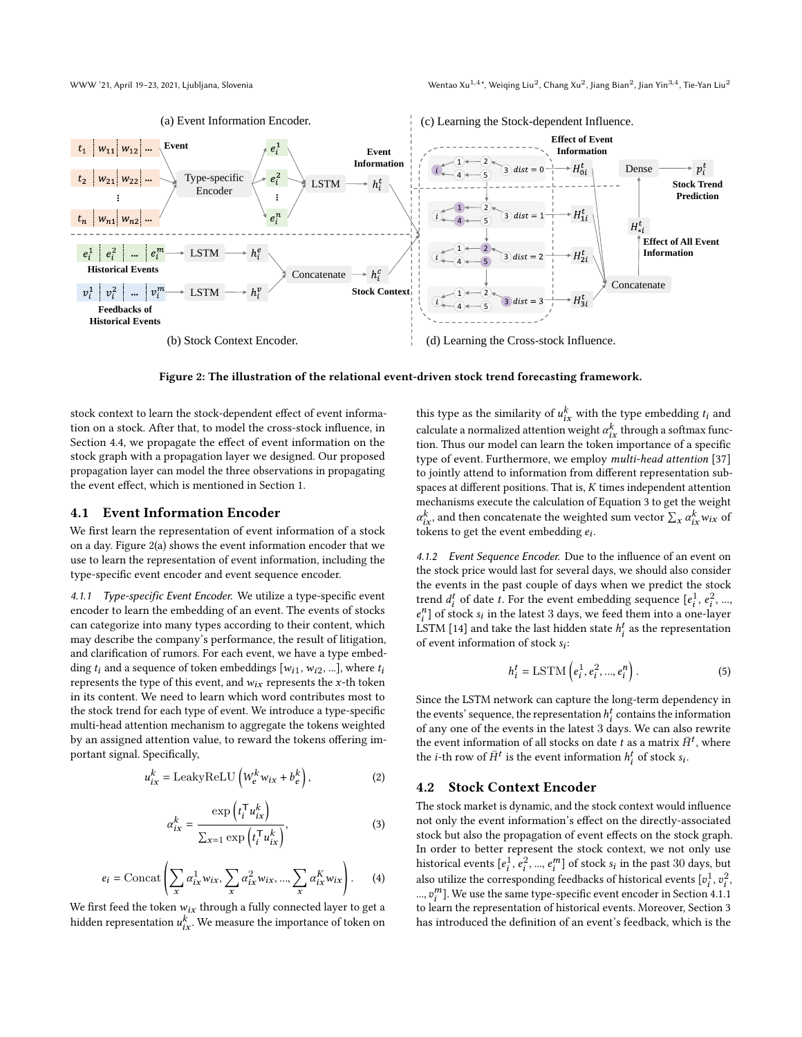<span id="page-3-0"></span>

Figure 2: The illustration of the relational event-driven stock trend forecasting framework.

stock context to learn the stock-dependent effect of event information on a stock. After that, to model the cross-stock influence, in Section [4.4,](#page-4-1) we propagate the effect of event information on the stock graph with a propagation layer we designed. Our proposed propagation layer can model the three observations in propagating the event effect, which is mentioned in Section [1.](#page-0-0)

#### <span id="page-3-1"></span>4.1 Event Information Encoder

We first learn the representation of event information of a stock on a day. Figure [2\(](#page-3-0)a) shows the event information encoder that we use to learn the representation of event information, including the type-specific event encoder and event sequence encoder.

<span id="page-3-4"></span>4.1.1 Type-specific Event Encoder. We utilize a type-specific event encoder to learn the embedding of an event. The events of stocks can categorize into many types according to their content, which may describe the company's performance, the result of litigation, and clarification of rumors. For each event, we have a type embedding  $t_i$  and a sequence of token embeddings  $[w_{i1}, w_{i2}, ...]$ , where  $t_i$ represents the type of this event, and  $w_{ix}$  represents the x-th token in its content. We need to learn which word contributes most to the stock trend for each type of event. We introduce a type-specific multi-head attention mechanism to aggregate the tokens weighted by an assigned attention value, to reward the tokens offering important signal. Specifically,

$$
u_{ix}^{k} = \text{LeakyReLU}\left(W_{e}^{k}w_{ix} + b_{e}^{k}\right),\tag{2}
$$

$$
\alpha_{ix}^k = \frac{\exp\left(t_i^{\mathsf{T}} u_{ix}^k\right)}{\sum_{x=1} \exp\left(t_i^{\mathsf{T}} u_{ix}^k\right)},\tag{3}
$$

$$
e_i = \text{Concat}\left(\sum_x \alpha_{ix}^1 w_{ix}, \sum_x \alpha_{ix}^2 w_{ix}, ..., \sum_x \alpha_{ix}^K w_{ix}\right). \tag{4}
$$

We first feed the token  $w_{ix}$  through a fully connected layer to get a hidden representation  $u_{ix}^k$ . We measure the importance of token on

this type as the similarity of  $u_{ix}^k$  with the type embedding  $t_i$  and calculate a normalized attention weight  $\alpha_{ix}^k$  through a softmax function. Thus our model can learn the token importance of a specific type of event. Furthermore, we employ multi-head attention [\[37\]](#page-9-20) to jointly attend to information from different representation subspaces at different positions. That is,  $K$  times independent attention mechanisms execute the calculation of Equation [3](#page-3-3) to get the weight  $\alpha_{ix}^k$ , and then concatenate the weighted sum vector  $\sum_x \alpha_{ix}^k w_{ix}$  of tokens to get the event embedding  $e_i$ .

4.1.2 Event Sequence Encoder. Due to the influence of an event on the stock price would last for several days, we should also consider the events in the past couple of days when we predict the stock trend  $d_i^t$  of date t. For the event embedding sequence  $[e_i^1, e_i^2, ...,$  $e_i^n$ ] of stock  $s_i$  in the latest 3 days, we feed them into a one-layer LSTM [\[14\]](#page-8-10) and take the last hidden state  $h_i^t$  as the representation of event information of stock  $s_i$ :

$$
h_i^t = \text{LSTM}\left(e_i^1, e_i^2, ..., e_i^n\right). \tag{5}
$$

Since the LSTM network can capture the long-term dependency in the events' sequence, the representation  $h_i^t$  contains the information of any one of the events in the latest 3 days. We can also rewrite the event information of all stocks on date  $\tilde{t}$  as a matrix  $\bar{H}^t$ , where the *i*-th row of  $\bar{H}^t$  is the event information  $h_i^t$  of stock  $s_i$ .

#### <span id="page-3-2"></span>4.2 Stock Context Encoder

<span id="page-3-3"></span>The stock market is dynamic, and the stock context would influence not only the event information's effect on the directly-associated stock but also the propagation of event effects on the stock graph. In order to better represent the stock context, we not only use historical events  $[e_i^1, e_i^2, ..., e_i^m]$  of stock  $s_i$  in the past  $30$  days, but also utilize the corresponding feedbacks of historical events  $[v_i^1,v_i^2,$ ...,  $v_i^m$ ]. We use the same type-specific event encoder in Section [4.1.1](#page-3-4) to learn the representation of historical events. Moreover, Section [3](#page-2-1) has introduced the definition of an event's feedback, which is the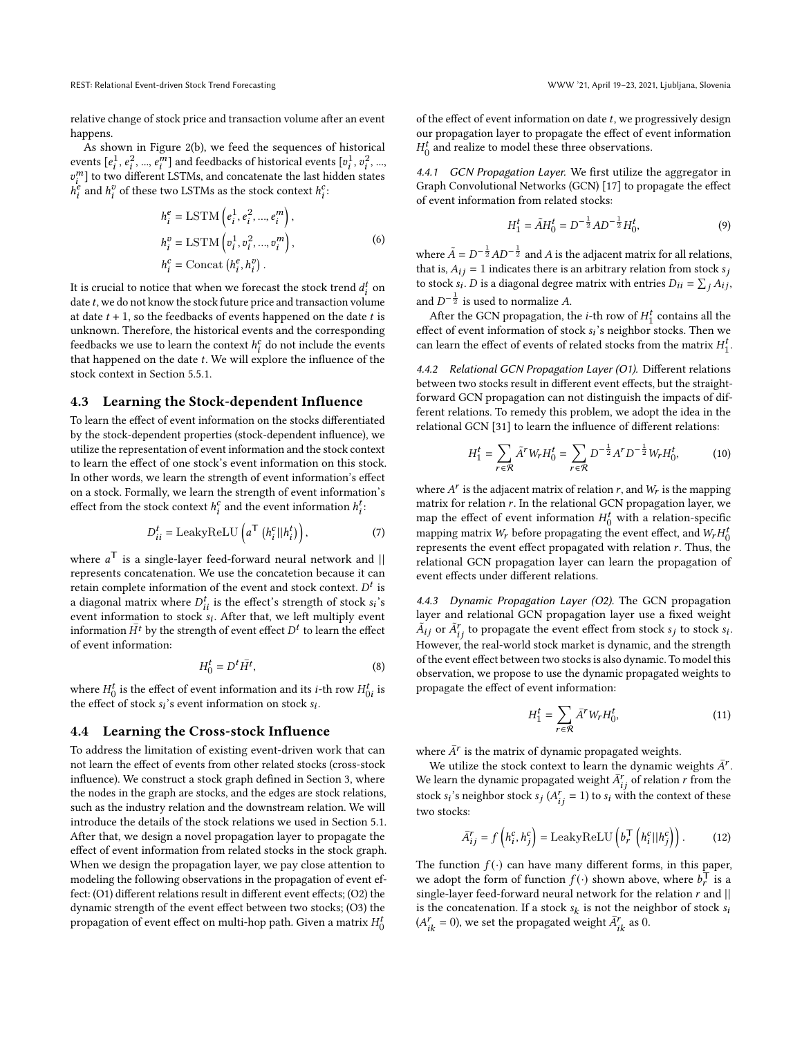relative change of stock price and transaction volume after an event happens.

As shown in Figure [2\(](#page-3-0)b), we feed the sequences of historical events  $[e_i^1, e_i^2, ..., e_i^m]$  and feedbacks of historical events  $[v_i^1, v_i^2, ...,$  $v_i^m$ ] to two different LSTMs, and concatenate the last hidden states  $h_i^e$  and  $h_i^v$  of these two LSTMs as the stock context  $h_i^c$ .

$$
h_i^e = \text{LSTM}\left(e_i^1, e_i^2, ..., e_i^m\right),
$$
  
\n
$$
h_i^v = \text{LSTM}\left(v_i^1, v_i^2, ..., v_i^m\right),
$$
  
\n
$$
h_i^c = \text{Concat}\left(h_i^e, h_i^v\right).
$$
\n(6)

It is crucial to notice that when we forecast the stock trend  $d_i^t$  on date  $t$ , we do not know the stock future price and transaction volume at date  $t + 1$ , so the feedbacks of events happened on the date  $t$  is unknown. Therefore, the historical events and the corresponding feedbacks we use to learn the context  $h_i^c$  do not include the events that happened on the date  $t$ . We will explore the influence of the stock context in Section [5.5.1.](#page-7-0)

## <span id="page-4-0"></span>4.3 Learning the Stock-dependent Influence

To learn the effect of event information on the stocks differentiated by the stock-dependent properties (stock-dependent influence), we utilize the representation of event information and the stock context to learn the effect of one stock's event information on this stock. In other words, we learn the strength of event information's effect on a stock. Formally, we learn the strength of event information's effect from the stock context  $h_i^c$  and the event information  $h_i^t$ :

$$
D_{ii}^{t} = \text{LeakyReLU}\left(a^{\mathsf{T}}\left(h_{i}^{c}||h_{i}^{t}\right)\right),\tag{7}
$$

where  $a^{\mathsf{T}}$  is a single-layer feed-forward neural network and  $||$ represents concatenation. We use the concatetion because it can retain complete information of the event and stock context.  $D<sup>t</sup>$  is a diagonal matrix where  $D_{ii}^t$  is the effect's strength of stock  $s_i$ 's event information to stock  $s_i$ . After that, we left multiply event information  $\overline{H}^t$  by the strength of event effect  $D^t$  to learn the effect of event information:

$$
H_0^t = D^t \bar{H}^t,\tag{8}
$$

where  $H_0^t$  is the effect of event information and its *i*-th row  $H_{0i}^t$  is the effect of stock  $s_i$ 's event information on stock  $s_i$ .

#### <span id="page-4-1"></span>4.4 Learning the Cross-stock Influence

To address the limitation of existing event-driven work that can not learn the effect of events from other related stocks (cross-stock influence). We construct a stock graph defined in Section [3,](#page-2-1) where the nodes in the graph are stocks, and the edges are stock relations, such as the industry relation and the downstream relation. We will introduce the details of the stock relations we used in Section [5.1.](#page-5-0) After that, we design a novel propagation layer to propagate the effect of event information from related stocks in the stock graph. When we design the propagation layer, we pay close attention to modeling the following observations in the propagation of event effect: (O1) different relations result in different event effects; (O2) the dynamic strength of the event effect between two stocks; (O3) the propagation of event effect on multi-hop path. Given a matrix  $H_0^t$ 

of the effect of event information on date  $t$ , we progressively design our propagation layer to propagate the effect of event information  $H_0^t$  and realize to model these three observations.

<span id="page-4-2"></span>4.4.1 GCN Propagation Layer. We first utilize the aggregator in Graph Convolutional Networks (GCN) [\[17\]](#page-8-6) to propagate the effect of event information from related stocks:

$$
H_1^t = \tilde{A}H_0^t = D^{-\frac{1}{2}}AD^{-\frac{1}{2}}H_0^t,
$$
\n(9)

where  $\tilde{A} = D^{-\frac{1}{2}}AD^{-\frac{1}{2}}$  and A is the adjacent matrix for all relations, that is,  $A_{ij} = 1$  indicates there is an arbitrary relation from stock  $s_i$ to stock  $s_i$ . D is a diagonal degree matrix with entries  $D_{ii} = \sum_j A_{ij}$ , and  $D^{-\frac{1}{2}}$  is used to normalize A.

After the GCN propagation, the *i*-th row of  $H_1^t$  contains all the effect of event information of stock  $s_i$ 's neighbor stocks. Then we can learn the effect of events of related stocks from the matrix  $H_1^t$ .

<span id="page-4-3"></span>4.4.2 Relational GCN Propagation Layer (O1). Different relations between two stocks result in different event effects, but the straightforward GCN propagation can not distinguish the impacts of different relations. To remedy this problem, we adopt the idea in the relational GCN [\[31\]](#page-9-21) to learn the influence of different relations:

$$
H_1^t = \sum_{r \in \mathcal{R}} \tilde{A}^r W_r H_0^t = \sum_{r \in \mathcal{R}} D^{-\frac{1}{2}} A^r D^{-\frac{1}{2}} W_r H_0^t, \tag{10}
$$

where  $A^r$  is the adjacent matrix of relation  $r$ , and  $W_r$  is the mapping matrix for relation  $r$ . In the relational GCN propagation layer, we map the effect of event information  $H_0^t$  with a relation-specific mapping matrix  $W_r$  before propagating the event effect, and  $W_r H_0^t$ represents the event effect propagated with relation  $r$ . Thus, the relational GCN propagation layer can learn the propagation of event effects under different relations.

<span id="page-4-4"></span>4.4.3 Dynamic Propagation Layer (O2). The GCN propagation layer and relational GCN propagation layer use a fixed weight  $\tilde{A}_{ij}$  or  $\tilde{A}_{ij}^r$  to propagate the event effect from stock  $s_j$  to stock  $s_i$ . However, the real-world stock market is dynamic, and the strength of the event effect between two stocks is also dynamic. To model this observation, we propose to use the dynamic propagated weights to propagate the effect of event information:

$$
H_1^t = \sum_{r \in \mathcal{R}} \bar{A}^r W_r H_0^t, \tag{11}
$$

where  $\bar{A}^r$  is the matrix of dynamic propagated weights.

We utilize the stock context to learn the dynamic weights  $\bar{A}^r$ . We learn the dynamic propagated weight  $\bar{A}^r_{ij}$  of relation r from the stock  $s_i$ 's neighbor stock  $s_j$  ( $A_{ij}^r = 1$ ) to  $s_i$  with the context of these two stocks:

$$
\bar{A}_{ij}^r = f\left(h_i^c, h_j^c\right) = \text{LeakyReLU}\left(b_r^{\mathsf{T}}\left(h_i^c||h_j^c\right)\right). \tag{12}
$$

The function  $f(\cdot)$  can have many different forms, in this paper, we adopt the form of function  $f(\cdot)$  shown above, where  $b_r^{\mathsf{T}}$  is a single-layer feed-forward neural network for the relation  $r$  and  $||$ is the concatenation. If a stock  $s_k$  is not the neighbor of stock  $s_k$  $(A_{ik}^r = 0)$ , we set the propagated weight  $\bar{A}_{ik}^r$  as 0.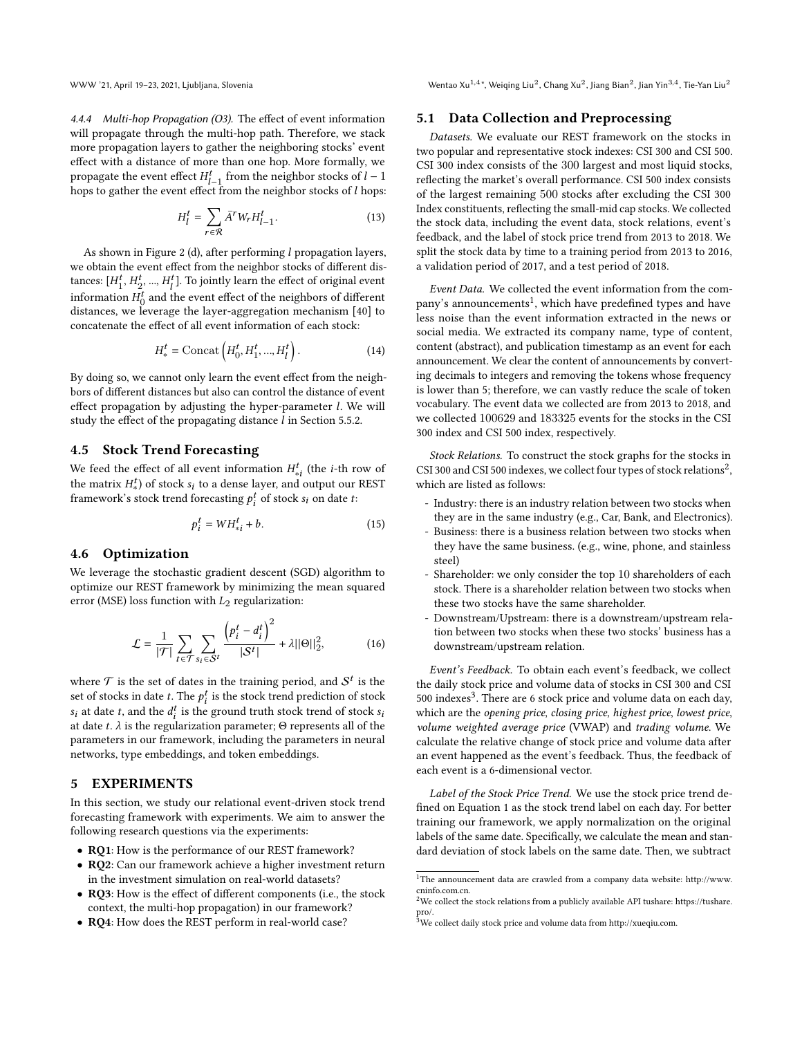WWW '21, April 19-23, 2021, Ljubljana, Slovenia

<span id="page-5-4"></span>4.4.4 Multi-hop Propagation (O3). The effect of event information will propagate through the multi-hop path. Therefore, we stack more propagation layers to gather the neighboring stocks' event effect with a distance of more than one hop. More formally, we propagate the event effect  $H_{l-1}^t$  from the neighbor stocks of  $l-1$ hops to gather the event effect from the neighbor stocks of  $l$  hops:

$$
H_l^t = \sum_{r \in \mathcal{R}} \bar{A}^r W_r H_{l-1}^t.
$$
 (13)

As shown in Figure [2](#page-3-0) (d), after performing  $l$  propagation layers, we obtain the event effect from the neighbor stocks of different distances:  $[H_1^t, H_2^t, ..., H_l^t]$ . To jointly learn the effect of original event information  $H_0^t$  and the event effect of the neighbors of different distances, we leverage the layer-aggregation mechanism [\[40\]](#page-9-22) to concatenate the effect of all event information of each stock:

$$
H_*^t = \text{Concat}\left(H_0^t, H_1^t, ..., H_l^t\right). \tag{14}
$$

By doing so, we cannot only learn the event effect from the neighbors of different distances but also can control the distance of event effect propagation by adjusting the hyper-parameter  $l$ . We will study the effect of the propagating distance  $l$  in Section [5.5.2.](#page-7-1)

#### 4.5 Stock Trend Forecasting

We feed the effect of all event information  $H_{*i}^t$  (the *i*-th row of the matrix  $H^t_*$ ) of stock  $s_i$  to a dense layer, and output our REST framework's stock trend forecasting  $p_i^t$  of stock  $s_i$  on date t:

$$
p_i^t = WH_{*i}^t + b. \tag{15}
$$

# 4.6 Optimization

We leverage the stochastic gradient descent (SGD) algorithm to optimize our REST framework by minimizing the mean squared error (MSE) loss function with  $L_2$  regularization:

$$
\mathcal{L} = \frac{1}{|\mathcal{T}|} \sum_{t \in \mathcal{T}} \sum_{s_i \in \mathcal{S}^t} \frac{\left(p_i^t - d_i^t\right)^2}{|\mathcal{S}^t|} + \lambda ||\Theta||_2^2, \tag{16}
$$

where  $\mathcal T$  is the set of dates in the training period, and  $\mathcal S^t$  is the set of stocks in date t. The  $p_i^t$  is the stock trend prediction of stock  $s_i$  at date t, and the  $d_i^t$  is the ground truth stock trend of stock  $s_i$ at date  $t$ .  $\lambda$  is the regularization parameter; Θ represents all of the parameters in our framework, including the parameters in neural networks, type embeddings, and token embeddings.

# 5 EXPERIMENTS

In this section, we study our relational event-driven stock trend forecasting framework with experiments. We aim to answer the following research questions via the experiments:

- RQ1: How is the performance of our REST framework?
- RQ2: Can our framework achieve a higher investment return in the investment simulation on real-world datasets?
- RQ3: How is the effect of different components (i.e., the stock context, the multi-hop propagation) in our framework?
- RQ4: How does the REST perform in real-world case?

\*, Weiqing Liu $^2$ , Chang Xu $^2$ , Jiang Bian $^2$ , Jian Yin $^{3,4}$ , Tie-Yan Liu $^2$ 

## <span id="page-5-0"></span>5.1 Data Collection and Preprocessing

Datasets. We evaluate our REST framework on the stocks in two popular and representative stock indexes: CSI 300 and CSI 500. CSI 300 index consists of the 300 largest and most liquid stocks, reflecting the market's overall performance. CSI 500 index consists of the largest remaining 500 stocks after excluding the CSI 300 Index constituents, reflecting the small-mid cap stocks. We collected the stock data, including the event data, stock relations, event's feedback, and the label of stock price trend from 2013 to 2018. We split the stock data by time to a training period from 2013 to 2016, a validation period of 2017, and a test period of 2018.

Event Data. We collected the event information from the company's announcements $^1$  $^1$ , which have predefined types and have less noise than the event information extracted in the news or social media. We extracted its company name, type of content, content (abstract), and publication timestamp as an event for each announcement. We clear the content of announcements by converting decimals to integers and removing the tokens whose frequency is lower than 5; therefore, we can vastly reduce the scale of token vocabulary. The event data we collected are from 2013 to 2018, and we collected 100629 and 183325 events for the stocks in the CSI 300 index and CSI 500 index, respectively.

Stock Relations. To construct the stock graphs for the stocks in CSI 300 and CSI 500 indexes, we collect four types of stock relations<sup>[2](#page-5-2)</sup>, which are listed as follows:

- Industry: there is an industry relation between two stocks when they are in the same industry (e.g., Car, Bank, and Electronics).
- Business: there is a business relation between two stocks when they have the same business. (e.g., wine, phone, and stainless steel)
- Shareholder: we only consider the top 10 shareholders of each stock. There is a shareholder relation between two stocks when these two stocks have the same shareholder.
- Downstream/Upstream: there is a downstream/upstream relation between two stocks when these two stocks' business has a downstream/upstream relation.

Event's Feedback. To obtain each event's feedback, we collect the daily stock price and volume data of stocks in CSI 300 and CSI 500 indexes<sup>[3](#page-5-3)</sup>. There are 6 stock price and volume data on each day, which are the opening price, closing price, highest price, lowest price, volume weighted average price (VWAP) and trading volume. We calculate the relative change of stock price and volume data after an event happened as the event's feedback. Thus, the feedback of each event is a 6-dimensional vector.

Label of the Stock Price Trend. We use the stock price trend defined on Equation [1](#page-2-2) as the stock trend label on each day. For better training our framework, we apply normalization on the original labels of the same date. Specifically, we calculate the mean and standard deviation of stock labels on the same date. Then, we subtract

<span id="page-5-1"></span> $1$ <sup>1</sup>The announcement data are crawled from a company data website: [http://www.](http://www.cninfo.com.cn) [cninfo.com.cn.](http://www.cninfo.com.cn)

<span id="page-5-2"></span> $^2$ We collect the stock relations from a publicly available API tushare: [https://tushare.](https://tushare.pro/) [pro/.](https://tushare.pro/)

<span id="page-5-3"></span> $^{\bar{3}}$ We collect daily stock price and volume data from http://xueqiu.com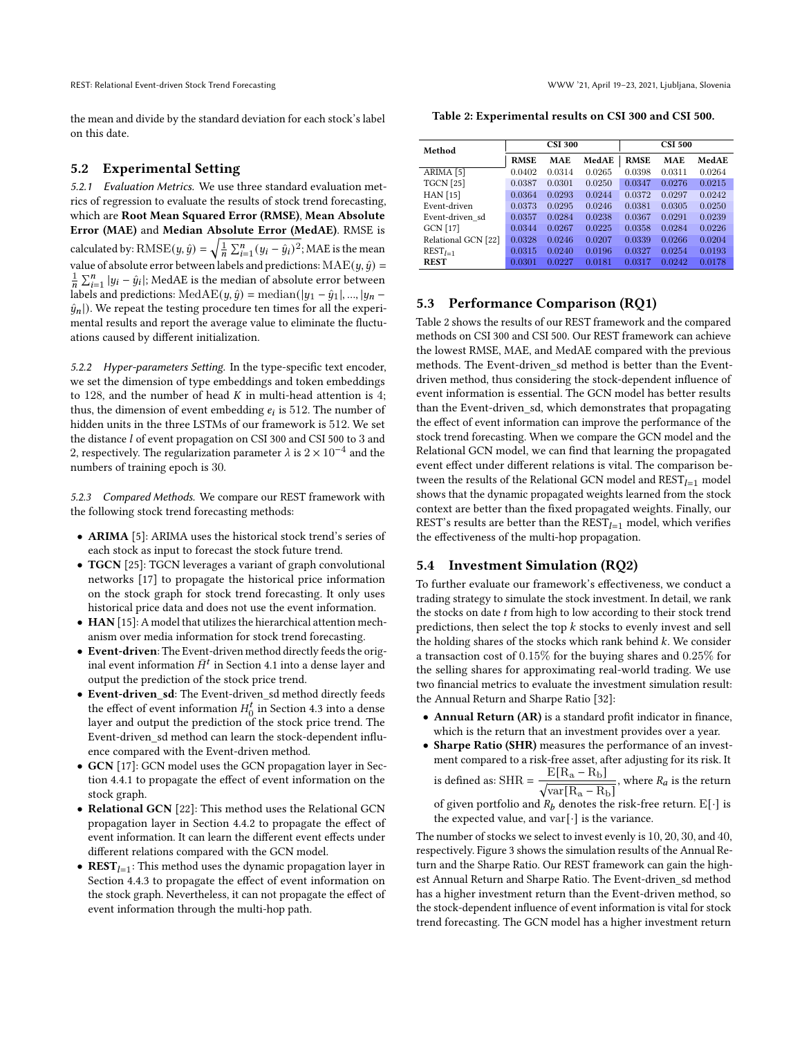REST: Relational Event-driven Stock Trend Forecasting WWW '21, April 19–23, 2021, Ljubljana, Slovenia

the mean and divide by the standard deviation for each stock's label on this date.

#### 5.2 Experimental Setting

5.2.1 Evaluation Metrics. We use three standard evaluation metrics of regression to evaluate the results of stock trend forecasting, which are Root Mean Squared Error (RMSE), Mean Absolute Error (MAE) and Median Absolute Error (MedAE). RMSE is calculated by:  $\text{RMSE}(y, \hat{y}) = \sqrt{\frac{1}{n} \sum_{i=1}^{n} (y_i - \hat{y}_i)^2}$ ; MAE is the mean value of absolute error between labels and predictions:  $\text{MAE}(y, \hat{y}) =$  $\frac{1}{n} \sum_{i=1}^{n} |y_i - \hat{y}_i|$ ; MedAE is the median of absolute error between labels and predictions: MedAE( $y$ ,  $\hat{y}$ ) = median(| $y_1 - \hat{y}_1$ |, ..., | $y_n$  –  $\hat{y}_n$ ). We repeat the testing procedure ten times for all the experimental results and report the average value to eliminate the fluctuations caused by different initialization.

5.2.2 Hyper-parameters Setting. In the type-specific text encoder, we set the dimension of type embeddings and token embeddings to 128, and the number of head  $K$  in multi-head attention is 4; thus, the dimension of event embedding  $e_i$  is 512. The number of hidden units in the three LSTMs of our framework is 512. We set the distance  $l$  of event propagation on CSI 300 and CSI 500 to 3 and 2, respectively. The regularization parameter  $\lambda$  is 2 × 10<sup>-4</sup> and the numbers of training epoch is 30.

5.2.3 Compared Methods. We compare our REST framework with the following stock trend forecasting methods:

- ARIMA [\[5\]](#page-8-20): ARIMA uses the historical stock trend's series of each stock as input to forecast the stock future trend.
- TGCN [\[25\]](#page-9-16): TGCN leverages a variant of graph convolutional networks [\[17\]](#page-8-6) to propagate the historical price information on the stock graph for stock trend forecasting. It only uses historical price data and does not use the event information.
- HAN [\[15\]](#page-8-2): A model that utilizes the hierarchical attention mechanism over media information for stock trend forecasting.
- Event-driven: The Event-driven method directly feeds the original event information  $\bar{H}^t$  in Section [4.1](#page-3-1) into a dense layer and output the prediction of the stock price trend.
- Event-driven\_sd: The Event-driven\_sd method directly feeds the effect of event information  $H_0^t$  in Section [4.3](#page-4-0) into a dense layer and output the prediction of the stock price trend. The Event-driven sd method can learn the stock-dependent influence compared with the Event-driven method.
- GCN [\[17\]](#page-8-6): GCN model uses the GCN propagation layer in Section [4.4.1](#page-4-2) to propagate the effect of event information on the stock graph.
- Relational GCN [\[22\]](#page-8-21): This method uses the Relational GCN propagation layer in Section [4.4.2](#page-4-3) to propagate the effect of event information. It can learn the different event effects under different relations compared with the GCN model.
- **REST**<sub> $l=1$ </sub>: This method uses the dynamic propagation layer in Section [4.4.3](#page-4-4) to propagate the effect of event information on the stock graph. Nevertheless, it can not propagate the effect of event information through the multi-hop path.

<span id="page-6-0"></span>Table 2: Experimental results on CSI 300 and CSI 500.

| Method               | <b>CSI 300</b> |            |        | <b>CSI 500</b> |            |        |
|----------------------|----------------|------------|--------|----------------|------------|--------|
|                      | <b>RMSE</b>    | <b>MAE</b> | MedAE  | <b>RMSE</b>    | <b>MAE</b> | MedAE  |
| ARIMA <sup>[5]</sup> | 0.0402         | 0.0314     | 0.0265 | 0.0398         | 0.0311     | 0.0264 |
| <b>TGCN</b> [25]     | 0.0387         | 0.0301     | 0.0250 | 0.0347         | 0.0276     | 0.0215 |
| <b>HAN</b> [15]      | 0.0364         | 0.0293     | 0.0244 | 0.0372         | 0.0297     | 0.0242 |
| Event-driven         | 0.0373         | 0.0295     | 0.0246 | 0.0381         | 0.0305     | 0.0250 |
| Event-driven sd      | 0.0357         | 0.0284     | 0.0238 | 0.0367         | 0.0291     | 0.0239 |
| GCN [17]             | 0.0344         | 0.0267     | 0.0225 | 0.0358         | 0.0284     | 0.0226 |
| Relational GCN [22]  | 0.0328         | 0.0246     | 0.0207 | 0.0339         | 0.0266     | 0.0204 |
| $REST_{l=1}$         | 0.0315         | 0.0240     | 0.0196 | 0.0327         | 0.0254     | 0.0193 |
| <b>REST</b>          | 0.0301         | 0.0227     | 0.0181 | 0.0317         | 0.0242     | 0.0178 |

# 5.3 Performance Comparison (RQ1)

Table [2](#page-6-0) shows the results of our REST framework and the compared methods on CSI 300 and CSI 500. Our REST framework can achieve the lowest RMSE, MAE, and MedAE compared with the previous methods. The Event-driven\_sd method is better than the Eventdriven method, thus considering the stock-dependent influence of event information is essential. The GCN model has better results than the Event-driven sd, which demonstrates that propagating the effect of event information can improve the performance of the stock trend forecasting. When we compare the GCN model and the Relational GCN model, we can find that learning the propagated event effect under different relations is vital. The comparison between the results of the Relational GCN model and  $\text{REST}_{I=1}$  model shows that the dynamic propagated weights learned from the stock context are better than the fixed propagated weights. Finally, our REST's results are better than the  $\text{REST}_{l=1}$  model, which verifies the effectiveness of the multi-hop propagation.

#### 5.4 Investment Simulation (RQ2)

To further evaluate our framework's effectiveness, we conduct a trading strategy to simulate the stock investment. In detail, we rank the stocks on date  $t$  from high to low according to their stock trend predictions, then select the top  $k$  stocks to evenly invest and sell the holding shares of the stocks which rank behind  $k$ . We consider a transaction cost of 0.15% for the buying shares and 0.25% for the selling shares for approximating real-world trading. We use two financial metrics to evaluate the investment simulation result: the Annual Return and Sharpe Ratio [\[32\]](#page-9-23):

- Annual Return (AR) is a standard profit indicator in finance, which is the return that an investment provides over a year.
- Sharpe Ratio (SHR) measures the performance of an investment compared to a risk-free asset, after adjusting for its risk. It is defined as: SHR =  $\frac{E[R_a - R_b]}{F_a}$  $\sqrt{\text{var}[R_a - R_b]}$ , where  $R_a$  is the return

of given portfolio and  $R_b$  denotes the risk-free return.  $E[\cdot]$  is the expected value, and  $var[\cdot]$  is the variance.

The number of stocks we select to invest evenly is 10, 20, 30, and 40, respectively. Figure [3](#page-7-2) shows the simulation results of the Annual Return and the Sharpe Ratio. Our REST framework can gain the highest Annual Return and Sharpe Ratio. The Event-driven\_sd method has a higher investment return than the Event-driven method, so the stock-dependent influence of event information is vital for stock trend forecasting. The GCN model has a higher investment return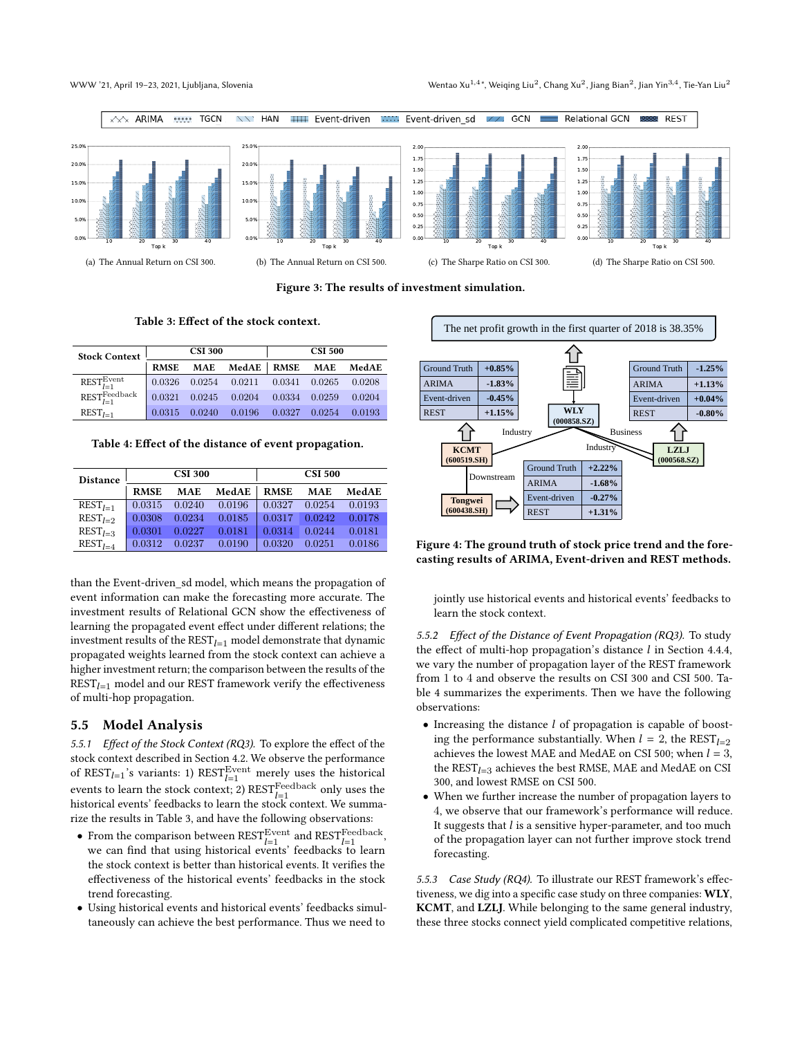#### WWW '21, April 19-23, 2021, Ljubljana, Slovenia

\*, Weiqing Liu $^2$ , Chang Xu $^2$ , Jiang Bian $^2$ , Jian Yin $^{3,4}$ , Tie-Yan Liu $^2$ 

<span id="page-7-2"></span>

Figure 3: The results of investment simulation.

Table 3: Effect of the stock context.

<span id="page-7-3"></span>

| <b>Stock Context</b>                  | <b>CSI 300</b> |            |        | <b>CSI 500</b> |            |        |
|---------------------------------------|----------------|------------|--------|----------------|------------|--------|
|                                       | <b>RMSE</b>    | <b>MAE</b> | MedAE  | <b>RMSE</b>    | <b>MAE</b> | MedAE  |
| $REST_{l=1}^{Event}$                  | 0.0326         | 0.0254     | 0.0211 | 0.0341         | 0.0265     | 0.0208 |
| $\text{REST}_{l=1}^{\text{Feedback}}$ | 0.0321         | 0.0245     | 0.0204 | 0.0334         | 0.0259     | 0.0204 |
| $REST_{I-1}$                          | 0.0315         | 0.0240     | 0.0196 | 0.0327         | 0.0254     | 0.0193 |

<span id="page-7-4"></span>Table 4: Effect of the distance of event propagation.

| <b>Distance</b> |             | <b>CSI 300</b> |        |             | <b>CSI 500</b> |        |
|-----------------|-------------|----------------|--------|-------------|----------------|--------|
|                 | <b>RMSE</b> | <b>MAE</b>     | MedAE  | <b>RMSE</b> | <b>MAE</b>     | MedAE  |
| $REST_{1-1}$    | 0.0315      | 0.0240         | 0.0196 | 0.0327      | 0.0254         | 0.0193 |
| $RESTI-2$       | 0.0308      | 0.0234         | 0.0185 | 0.0317      | 0.0242         | 0.0178 |
| $REST1-3$       | 0.0301      | 0.0227         | 0.0181 | 0.0314      | 0.0244         | 0.0181 |
| $RESTI-A$       | 0.0312      | 0.0237         | 0.0190 | 0.0320      | 0.0251         | 0.0186 |

than the Event-driven\_sd model, which means the propagation of event information can make the forecasting more accurate. The investment results of Relational GCN show the effectiveness of learning the propagated event effect under different relations; the investment results of the  $\text{REST}_{l=1}$  model demonstrate that dynamic propagated weights learned from the stock context can achieve a higher investment return; the comparison between the results of the  $REST_{l=1}$  model and our REST framework verify the effectiveness of multi-hop propagation.

## 5.5 Model Analysis

<span id="page-7-0"></span>5.5.1 Effect of the Stock Context (RQ3). To explore the effect of the stock context described in Section [4.2.](#page-3-2) We observe the performance of  $\text{REST}_{l=1}^{\cdot}$ 's variants: 1)  $\text{REST}_{l=1}^{\text{Event}}$  merely uses the historical events to learn the stock context; 2)  $\text{REST}_{l=1}^\text{Feedback}$  only uses the historical events' feedbacks to learn the stock context. We summarize the results in Table [3,](#page-7-3) and have the following observations:

- From the comparison between  $\text{REST}_{l=1}^{\text{Event}}$  and  $\text{REST}_{l=1}^{\text{Feedback}}$ , we can find that using historical events' feedbacks to learn the stock context is better than historical events. It verifies the effectiveness of the historical events' feedbacks in the stock trend forecasting.
- Using historical events and historical events' feedbacks simultaneously can achieve the best performance. Thus we need to

<span id="page-7-5"></span>

#### Figure 4: The ground truth of stock price trend and the forecasting results of ARIMA, Event-driven and REST methods.

jointly use historical events and historical events' feedbacks to learn the stock context.

<span id="page-7-1"></span>5.5.2 Effect of the Distance of Event Propagation (RQ3). To study the effect of multi-hop propagation's distance  $l$  in Section [4.4.4,](#page-5-4) we vary the number of propagation layer of the REST framework from 1 to 4 and observe the results on CSI 300 and CSI 500. Table [4](#page-7-4) summarizes the experiments. Then we have the following observations:

- $\bullet$  Increasing the distance  $l$  of propagation is capable of boosting the performance substantially. When  $l = 2$ , the REST<sub> $l=2$ </sub> achieves the lowest MAE and MedAE on CSI 500; when  $l = 3$ , the  $REST_{I=3}$  achieves the best RMSE, MAE and MedAE on CSI 300, and lowest RMSE on CSI 500.
- When we further increase the number of propagation layers to 4, we observe that our framework's performance will reduce. It suggests that  $l$  is a sensitive hyper-parameter, and too much of the propagation layer can not further improve stock trend forecasting.

5.5.3 Case Study (RQ4). To illustrate our REST framework's effectiveness, we dig into a specific case study on three companies: WLY, KCMT, and LZLJ. While belonging to the same general industry, these three stocks connect yield complicated competitive relations,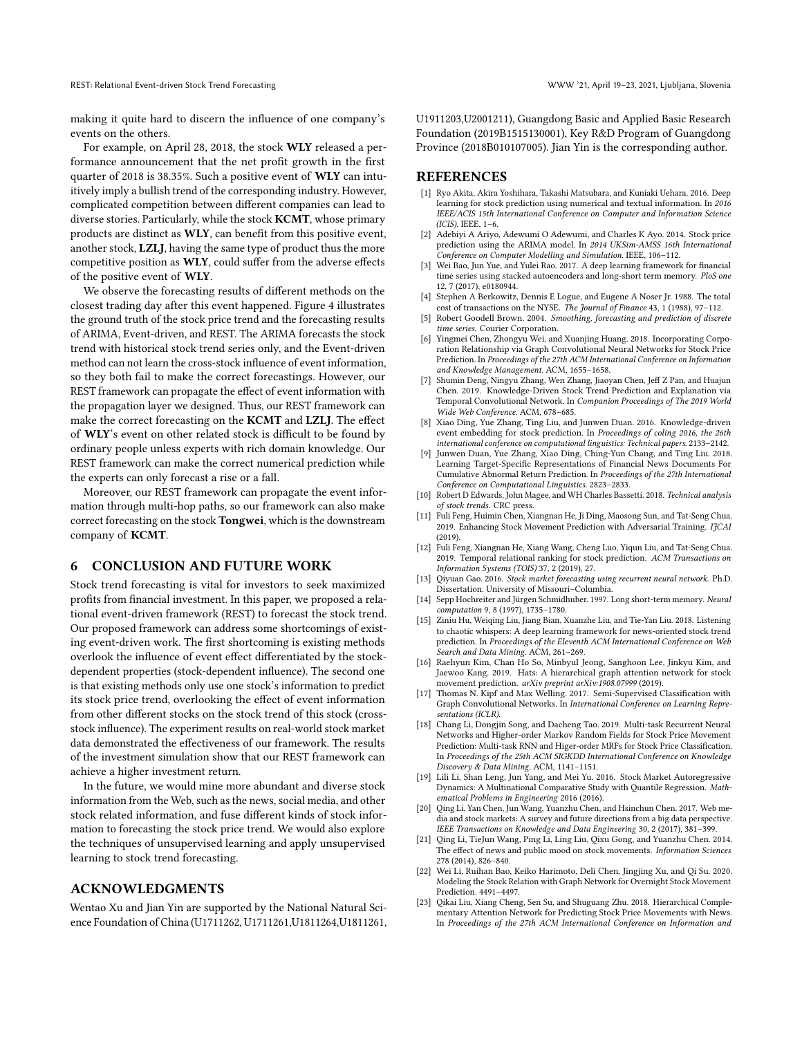making it quite hard to discern the influence of one company's events on the others.

For example, on April 28, 2018, the stock WLY released a performance announcement that the net profit growth in the first quarter of 2018 is 38.35%. Such a positive event of WLY can intuitively imply a bullish trend of the corresponding industry. However, complicated competition between different companies can lead to diverse stories. Particularly, while the stock KCMT, whose primary products are distinct as WLY, can benefit from this positive event, another stock, LZLJ, having the same type of product thus the more competitive position as WLY, could suffer from the adverse effects of the positive event of WLY.

We observe the forecasting results of different methods on the closest trading day after this event happened. Figure [4](#page-7-5) illustrates the ground truth of the stock price trend and the forecasting results of ARIMA, Event-driven, and REST. The ARIMA forecasts the stock trend with historical stock trend series only, and the Event-driven method can not learn the cross-stock influence of event information, so they both fail to make the correct forecastings. However, our REST framework can propagate the effect of event information with the propagation layer we designed. Thus, our REST framework can make the correct forecasting on the KCMT and LZLJ. The effect of WLY's event on other related stock is difficult to be found by ordinary people unless experts with rich domain knowledge. Our REST framework can make the correct numerical prediction while the experts can only forecast a rise or a fall.

Moreover, our REST framework can propagate the event information through multi-hop paths, so our framework can also make correct forecasting on the stock Tongwei, which is the downstream company of KCMT.

# 6 CONCLUSION AND FUTURE WORK

Stock trend forecasting is vital for investors to seek maximized profits from financial investment. In this paper, we proposed a relational event-driven framework (REST) to forecast the stock trend. Our proposed framework can address some shortcomings of existing event-driven work. The first shortcoming is existing methods overlook the influence of event effect differentiated by the stockdependent properties (stock-dependent influence). The second one is that existing methods only use one stock's information to predict its stock price trend, overlooking the effect of event information from other different stocks on the stock trend of this stock (crossstock influence). The experiment results on real-world stock market data demonstrated the effectiveness of our framework. The results of the investment simulation show that our REST framework can achieve a higher investment return.

In the future, we would mine more abundant and diverse stock information from the Web, such as the news, social media, and other stock related information, and fuse different kinds of stock information to forecasting the stock price trend. We would also explore the techniques of unsupervised learning and apply unsupervised learning to stock trend forecasting.

# ACKNOWLEDGMENTS

Wentao Xu and Jian Yin are supported by the National Natural Science Foundation of China (U1711262, U1711261, U1811264, U1811261, U1911203,U2001211), Guangdong Basic and Applied Basic Research Foundation (2019B1515130001), Key R&D Program of Guangdong Province (2018B010107005). Jian Yin is the corresponding author.

## **REFERENCES**

- <span id="page-8-11"></span>[1] Ryo Akita, Akira Yoshihara, Takashi Matsubara, and Kuniaki Uehara. 2016. Deep learning for stock prediction using numerical and textual information. In 2016 IEEE/ACIS 15th International Conference on Computer and Information Science (ICIS). IEEE, 1–6.
- <span id="page-8-9"></span>[2] Adebiyi A Ariyo, Adewumi O Adewumi, and Charles K Ayo. 2014. Stock price prediction using the ARIMA model. In 2014 UKSim-AMSS 16th International Conference on Computer Modelling and Simulation. IEEE, 106–112.
- <span id="page-8-12"></span>[3] Wei Bao, Jun Yue, and Yulei Rao. 2017. A deep learning framework for financial time series using stacked autoencoders and long-short term memory. PloS one 12, 7 (2017), e0180944.
- <span id="page-8-19"></span>[4] Stephen A Berkowitz, Dennis E Logue, and Eugene A Noser Jr. 1988. The total cost of transactions on the NYSE. The Journal of Finance 43, 1 (1988), 97–112.
- <span id="page-8-20"></span>[5] Robert Goodell Brown. 2004. Smoothing, forecasting and prediction of discrete time series. Courier Corporation.
- <span id="page-8-16"></span>Yingmei Chen, Zhongyu Wei, and Xuanjing Huang. 2018. Incorporating Corporation Relationship via Graph Convolutional Neural Networks for Stock Price Prediction. In Proceedings of the 27th ACM International Conference on Information and Knowledge Management. ACM, 1655–1658.
- <span id="page-8-0"></span>[7] Shumin Deng, Ningyu Zhang, Wen Zhang, Jiaoyan Chen, Jeff Z Pan, and Huajun Chen. 2019. Knowledge-Driven Stock Trend Prediction and Explanation via Temporal Convolutional Network. In Companion Proceedings of The 2019 World Wide Web Conference. ACM, 678–685.
- [8] Xiao Ding, Yue Zhang, Ting Liu, and Junwen Duan. 2016. Knowledge-driven event embedding for stock prediction. In Proceedings of coling 2016, the 26th international conference on computational linguistics: Technical papers. 2133–2142.
- <span id="page-8-1"></span>[9] Junwen Duan, Yue Zhang, Xiao Ding, Ching-Yun Chang, and Ting Liu. 2018. Learning Target-Specific Representations of Financial News Documents For Cumulative Abnormal Return Prediction. In Proceedings of the 27th International Conference on Computational Linguistics. 2823–2833.
- <span id="page-8-7"></span>[10] Robert D Edwards, John Magee, and WH Charles Bassetti. 2018. Technical analysis of stock trends. CRC press.
- <span id="page-8-15"></span>[11] Fuli Feng, Huimin Chen, Xiangnan He, Ji Ding, Maosong Sun, and Tat-Seng Chua. 2019. Enhancing Stock Movement Prediction with Adversarial Training. IJCAI (2019).
- <span id="page-8-17"></span>[12] Fuli Feng, Xiangnan He, Xiang Wang, Cheng Luo, Yiqun Liu, and Tat-Seng Chua. 2019. Temporal relational ranking for stock prediction. ACM Transactions on Information Systems (TOIS) 37, 2 (2019), 27.
- <span id="page-8-13"></span>[13] Qiyuan Gao. 2016. Stock market forecasting using recurrent neural network. Ph.D. Dissertation. University of Missouri–Columbia.
- <span id="page-8-10"></span>[14] Sepp Hochreiter and Jürgen Schmidhuber. 1997. Long short-term memory. Neural computation 9, 8 (1997), 1735–1780.
- <span id="page-8-2"></span>[15] Ziniu Hu, Weiqing Liu, Jiang Bian, Xuanzhe Liu, and Tie-Yan Liu. 2018. Listening to chaotic whispers: A deep learning framework for news-oriented stock trend prediction. In Proceedings of the Eleventh ACM International Conference on Web Search and Data Mining. ACM, 261–269.
- <span id="page-8-18"></span>[16] Raehyun Kim, Chan Ho So, Minbyul Jeong, Sanghoon Lee, Jinkyu Kim, and Jaewoo Kang. 2019. Hats: A hierarchical graph attention network for stock movement prediction. arXiv preprint arXiv:1908.07999 (2019).
- <span id="page-8-6"></span>[17] Thomas N. Kipf and Max Welling. 2017. Semi-Supervised Classification with Graph Convolutional Networks. In International Conference on Learning Representations (ICLR).
- <span id="page-8-14"></span>[18] Chang Li, Dongjin Song, and Dacheng Tao. 2019. Multi-task Recurrent Neural Networks and Higher-order Markov Random Fields for Stock Price Movement Prediction: Multi-task RNN and Higer-order MRFs for Stock Price Classification. In Proceedings of the 25th ACM SIGKDD International Conference on Knowledge Discovery & Data Mining. ACM, 1141–1151.
- <span id="page-8-8"></span>[19] Lili Li, Shan Leng, Jun Yang, and Mei Yu. 2016. Stock Market Autoregressive Dynamics: A Multinational Comparative Study with Quantile Regression. Mathematical Problems in Engineering 2016 (2016).
- <span id="page-8-5"></span>[20] Qing Li, Yan Chen, Jun Wang, Yuanzhu Chen, and Hsinchun Chen. 2017. Web media and stock markets: A survey and future directions from a big data perspective. IEEE Transactions on Knowledge and Data Engineering 30, 2 (2017), 381–399.
- <span id="page-8-4"></span>[21] Qing Li, TieJun Wang, Ping Li, Ling Liu, Qixu Gong, and Yuanzhu Chen. 2014. The effect of news and public mood on stock movements. Information Sciences 278 (2014), 826–840.
- <span id="page-8-21"></span>[22] Wei Li, Ruihan Bao, Keiko Harimoto, Deli Chen, Jingjing Xu, and Qi Su. 2020. Modeling the Stock Relation with Graph Network for Overnight Stock Movement Prediction. 4491–4497.
- <span id="page-8-3"></span>[23] Qikai Liu, Xiang Cheng, Sen Su, and Shuguang Zhu. 2018. Hierarchical Complementary Attention Network for Predicting Stock Price Movements with News. In Proceedings of the 27th ACM International Conference on Information and